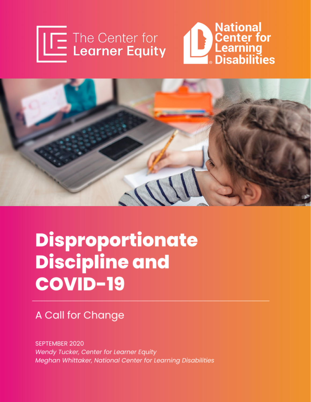





# **Disproportionate Discipline and COVID-19**

# A Call for Change

**SEPTEMBER 2020** Wendy Tucker, Center for Learner Equity Meghan Whittaker, National Center for Learning Disabilities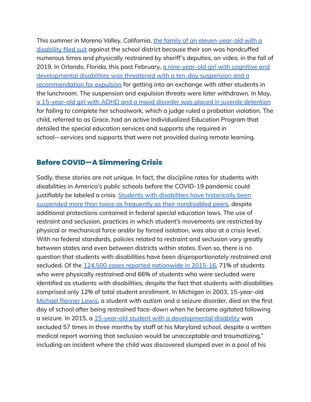This summer in Moreno Valley, California, the family of an [eleven-year-old](https://www.pe.com/2020/07/16/parents-of-11-year-old-black-student-repeatedly-handcuffed-by-school-police-files-complaint-against-moreno-valley-unified/) with a [disability](https://www.pe.com/2020/07/16/parents-of-11-year-old-black-student-repeatedly-handcuffed-by-school-police-files-complaint-against-moreno-valley-unified/) filed suit against the school district because their son was handcuffed numerous times and physically restrained by sheriff's deputies, on video, in the fall of 2019. In Orlando, Florida, this past February, a [nine-year-old](https://www.orlandosentinel.com/news/education/os-ne-upset-mother-child-disabilities-20200306-waet5vdymfeupmn7db3v6sl5k4-story.html) girl with cognitive and [developmental](https://www.orlandosentinel.com/news/education/os-ne-upset-mother-child-disabilities-20200306-waet5vdymfeupmn7db3v6sl5k4-story.html) disabilities was threatened with a ten-day suspension and a [recommendation](https://www.orlandosentinel.com/news/education/os-ne-upset-mother-child-disabilities-20200306-waet5vdymfeupmn7db3v6sl5k4-story.html) for expulsion for getting into an exchange with other students in the lunchroom. The suspension and expulsion threats were later withdrawn. In May, a [15-year-old](https://www.propublica.org/article/a-teenager-didnt-do-her-online-schoolwork-so-a-judge-sent-her-to-juvenile-detention) girl with ADHD and a mood disorder was placed in juvenile detention for failing to complete her schoolwork, which a judge ruled a probation violation. The child, referred to as Grace, had an active Individualized Education Program that detailed the special education services and supports she required in school—services and supports that were not provided during remote learning.

## **Before COVID—A Simmering Crisis**

Sadly, these stories are not unique. In fact, the discipline rates for students with disabilities in America's public schools before the COVID-19 pandemic could justifiably be labeled a crisis. Students with disabilities have [historically](https://www.ncsecs.org/wp-content/uploads/Executive-Summary-2015-2016_4page_rev.pdf) been suspended more than twice as frequently as their [nondisabled](https://www.ncsecs.org/wp-content/uploads/Executive-Summary-2015-2016_4page_rev.pdf) peers, despite additional protections contained in federal special education laws. The use of restraint and seclusion, practices in which student's movements are restricted by physical or mechanical force and/or by forced isolation, was also at a crisis level. With no federal standards, policies related to restraint and seclusion vary greatly between states and even between districts within states. Even so, there is no question that students with disabilities have been disproportionately restrained and secluded. Of the 124,500 cases reported [nationwide](https://www2.ed.gov/about/offices/list/ocr/docs/school-climate-and-safety.pdf) in 2015-16, 71% of students who were physically restrained and 66% of students who were secluded were identified as students with disabilities, despite the fact that students with disabilities comprised only 12% of total student enrollment. In Michigan in 2003, 15-year-old [Michael](https://www.freep.com/story/news/education/2016/12/15/michigan-senate-seclusion-restraint/95464564/) Renner Lewis, a student with autism and a seizure disorder, died on the first day of school after being restrained face-down when he became agitated following a seizure. In 2015, a 15-year-old student with a [developmental](https://www.nbcnews.com/news/education/thirteen-year-old-activist-autism-wants-close-seclusion-rooms-schools-n935356) disability was secluded 57 times in three months by staff at his Maryland school, despite a written medical report warning that seclusion would be unacceptable and traumatizing," including an incident where the child was discovered slumped over in a pool of his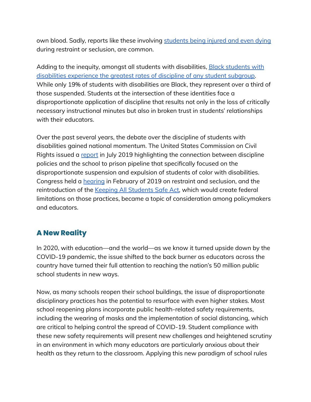own blood. Sadly, reports like these involving [students](https://www.nbcnews.com/news/us-news/death-student-autism-leads-manslaughter-charges-against-3-california-school-n1081276) being injured and even dying during restraint or seclusion, are common.

Adding to the inequity, amongst all [students](https://www.realcleareducation.com/articles/2020/06/24/blackness_disability_and_policing_in_american_schools_110434.html) with disabilities, Black students with disabilities [experience](https://www.realcleareducation.com/articles/2020/06/24/blackness_disability_and_policing_in_american_schools_110434.html) the greatest rates of discipline of any student subgroup. While only 19% of students with disabilities are Black, they represent over a third of those suspended. Students at the intersection of these identities face a disproportionate application of discipline that results not only in the loss of critically necessary instructional minutes but also in broken trust in students' relationships with their educators.

Over the past several years, the debate over the discipline of students with disabilities gained national momentum. The United States Commission on Civil Rights issued a [report](https://www.usccr.gov/pubs/2019/07-23-Beyond-Suspensions.pdf) in July 2019 highlighting the connection between discipline policies and the school to prison pipeline that specifically focused on the disproportionate suspension and expulsion of students of color with disabilities. Congress held a **[hearing](http://blogs.edweek.org/edweek/campaign-k-12/2019/02/restraint-and-seclusion-house-education-committee-hearing-barbaric.html)** in February of 2019 on restraint and seclusion, and the reintroduction of the Keeping All [Students](https://www.congress.gov/bill/115th-congress/house-bill/7124/text?q=%7B%22search%22%3A%5B%22keeping+all+students%22%5D%7D&r=1#:~:text=Introduced%20in%20House%20(11%2F14%2F2018)&text=To%20prohibit%20and%20prevent%20seclusion,schools%2C%20and%20for%20other%20purposes.&text=A%20BILL-,To%20prohibit%20and%20prevent%20seclusion%20and%20to%20prevent%20and%20reduce,schools%2C%20and%20for%20other%20purposes.) Safe Act, which would create federal limitations on those practices, became a topic of consideration among policymakers and educators.

# **A New Reality**

In 2020, with education—and the world—as we know it turned upside down by the COVID-19 pandemic, the issue shifted to the back burner as educators across the country have turned their full attention to reaching the nation's 50 million public school students in new ways.

Now, as many schools reopen their school buildings, the issue of disproportionate disciplinary practices has the potential to resurface with even higher stakes. Most school reopening plans incorporate public health-related safety requirements, including the wearing of masks and the implementation of social distancing, which are critical to helping control the spread of COVID-19. Student compliance with these new safety requirements will present new challenges and heightened scrutiny in an environment in which many educators are particularly anxious about their health as they return to the classroom. Applying this new paradigm of school rules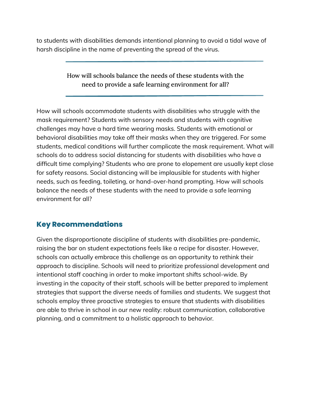to students with disabilities demands intentional planning to avoid a tidal wave of harsh discipline in the name of preventing the spread of the virus.

> How will schools balance the needs of these students with the need to provide a safe learning environment for all?

How will schools accommodate students with disabilities who struggle with the mask requirement? Students with sensory needs and students with cognitive challenges may have a hard time wearing masks. Students with emotional or behavioral disabilities may take off their masks when they are triggered. For some students, medical conditions will further complicate the mask requirement. What will schools do to address social distancing for students with disabilities who have a difficult time complying? Students who are prone to elopement are usually kept close for safety reasons. Social distancing will be implausible for students with higher needs, such as feeding, toileting, or hand-over-hand prompting. How will schools balance the needs of these students with the need to provide a safe learning environment for all?

## **Key Recommendations**

Given the disproportionate discipline of students with disabilities pre-pandemic, raising the bar on student expectations feels like a recipe for disaster. However, schools can actually embrace this challenge as an opportunity to rethink their approach to discipline. Schools will need to prioritize professional development and intentional staff coaching in order to make important shifts school-wide. By investing in the capacity of their staff, schools will be better prepared to implement strategies that support the diverse needs of families and students. We suggest that schools employ three proactive strategies to ensure that students with disabilities are able to thrive in school in our new reality: robust communication, collaborative planning, and a commitment to a holistic approach to behavior.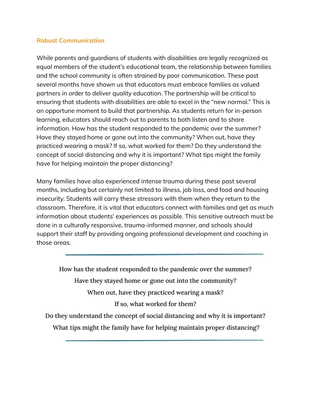#### *Robust Communication*

While parents and guardians of students with disabilities are legally recognized as equal members of the student's educational team, the relationship between families and the school community is often strained by poor communication. These past several months have shown us that educators must embrace families as valued partners in order to deliver quality education. The partnership will be critical to ensuring that students with disabilities are able to excel in the "new normal." This is an opportune moment to build that partnership. As students return for in-person learning, educators should reach out to parents to both listen and to share information. How has the student responded to the pandemic over the summer? Have they stayed home or gone out into the community? When out, have they practiced wearing a mask? If so, what worked for them? Do they understand the concept of social distancing and why it is important? What tips might the family have for helping maintain the proper distancing?

Many families have also experienced intense trauma during these past several months, including but certainly not limited to illness, job loss, and food and housing insecurity. Students will carry these stressors with them when they return to the classroom. Therefore, it is vital that educators connect with families and get as much information about students' experiences as possible. This sensitive outreach must be done in a culturally responsive, trauma-informed manner, and schools should support their staff by providing ongoing professional development and coaching in those areas.

How has the student responded to the pandemic over the summer? Have they stayed home or gone out into the community? When out, have they practiced wearing a mask? If so, what worked for them? Do they understand the concept of social distancing and why it is important?

What tips might the family have for helping maintain proper distancing?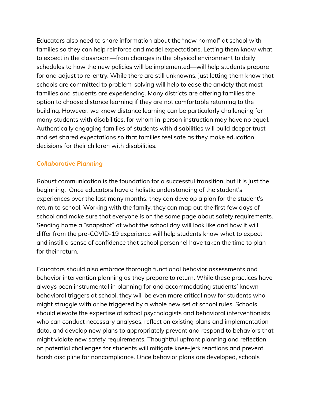Educators also need to share information about the "new normal" at school with families so they can help reinforce and model expectations. Letting them know what to expect in the classroom—from changes in the physical environment to daily schedules to how the new policies will be implemented—will help students prepare for and adjust to re-entry. While there are still unknowns, just letting them know that schools are committed to problem-solving will help to ease the anxiety that most families and students are experiencing. Many districts are offering families the option to choose distance learning if they are not comfortable returning to the building. However, we know distance learning can be particularly challenging for many students with disabilities, for whom in-person instruction may have no equal. Authentically engaging families of students with disabilities will build deeper trust and set shared expectations so that families feel safe as they make education decisions for their children with disabilities.

#### *Collaborative Planning*

Robust communication is the foundation for a successful transition, but it is just the beginning. Once educators have a holistic understanding of the student's experiences over the last many months, they can develop a plan for the student's return to school. Working with the family, they can map out the first few days of school and make sure that everyone is on the same page about safety requirements. Sending home a "snapshot" of what the school day will look like and how it will differ from the pre-COVID-19 experience will help students know what to expect and instill a sense of confidence that school personnel have taken the time to plan for their return.

Educators should also embrace thorough functional behavior assessments and behavior intervention planning as they prepare to return. While these practices have always been instrumental in planning for and accommodating students' known behavioral triggers at school, they will be even more critical now for students who might struggle with or be triggered by a whole new set of school rules. Schools should elevate the expertise of school psychologists and behavioral interventionists who can conduct necessary analyses, reflect on existing plans and implementation data, and develop new plans to appropriately prevent and respond to behaviors that might violate new safety requirements. Thoughtful upfront planning and reflection on potential challenges for students will mitigate knee-jerk reactions and prevent harsh discipline for noncompliance. Once behavior plans are developed, schools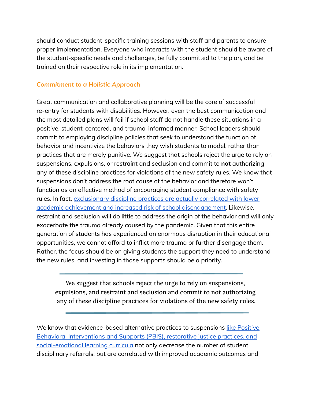should conduct student-specific training sessions with staff and parents to ensure proper implementation. Everyone who interacts with the student should be aware of the student-specific needs and challenges, be fully committed to the plan, and be trained on their respective role in its implementation.

#### *Commitment to a Holistic Approach*

Great communication and collaborative planning will be the core of successful re-entry for students with disabilities. However, even the best communication and the most detailed plans will fail if school staff do not handle these situations in a positive, student-centered, and trauma-informed manner. School leaders should commit to employing discipline policies that seek to understand the function of behavior and incentivize the behaviors they wish students to model, rather than practices that are merely punitive. We suggest that schools reject the urge to rely on suspensions, expulsions, or restraint and seclusion and commit to **not** authorizing any of these discipline practices for violations of the new safety rules. We know that suspensions don't address the root cause of the behavior and therefore won't function as an effective method of encouraging student compliance with safety rules. In fact, [exclusionary](https://civilrightsproject.ucla.edu/research/k-12-education/school-discipline/suspended-education-urban-middle-schools-in-crisis/Suspended-Education_FINAL-2.pdf) discipline practices are actually correlated with lower academic achievement and increased risk of school [disengagement.](https://civilrightsproject.ucla.edu/research/k-12-education/school-discipline/suspended-education-urban-middle-schools-in-crisis/Suspended-Education_FINAL-2.pdf) Likewise, restraint and seclusion will do little to address the origin of the behavior and will only exacerbate the trauma already caused by the pandemic. Given that this entire generation of students has experienced an enormous disruption in their educational opportunities, we cannot afford to inflict more trauma or further disengage them. Rather, the focus should be on giving students the support they need to understand the new rules, and investing in those supports should be a priority.

We suggest that schools reject the urge to rely on suspensions, expulsions, and restraint and seclusion and commit to not authorizing any of these discipline practices for violations of the new safety rules.

We know that evidence-based alternative practices to suspensions like [Positive](https://learningpolicyinstitute.org/sites/default/files/product-files/Educating_Whole_Child_REPORT.pdf) Behavioral [Interventions](https://learningpolicyinstitute.org/sites/default/files/product-files/Educating_Whole_Child_REPORT.pdf) and Supports (PBIS), restorative justice practices, and [social-emotional](https://learningpolicyinstitute.org/sites/default/files/product-files/Educating_Whole_Child_REPORT.pdf) learning curricula not only decrease the number of student disciplinary referrals, but are correlated with improved academic outcomes and